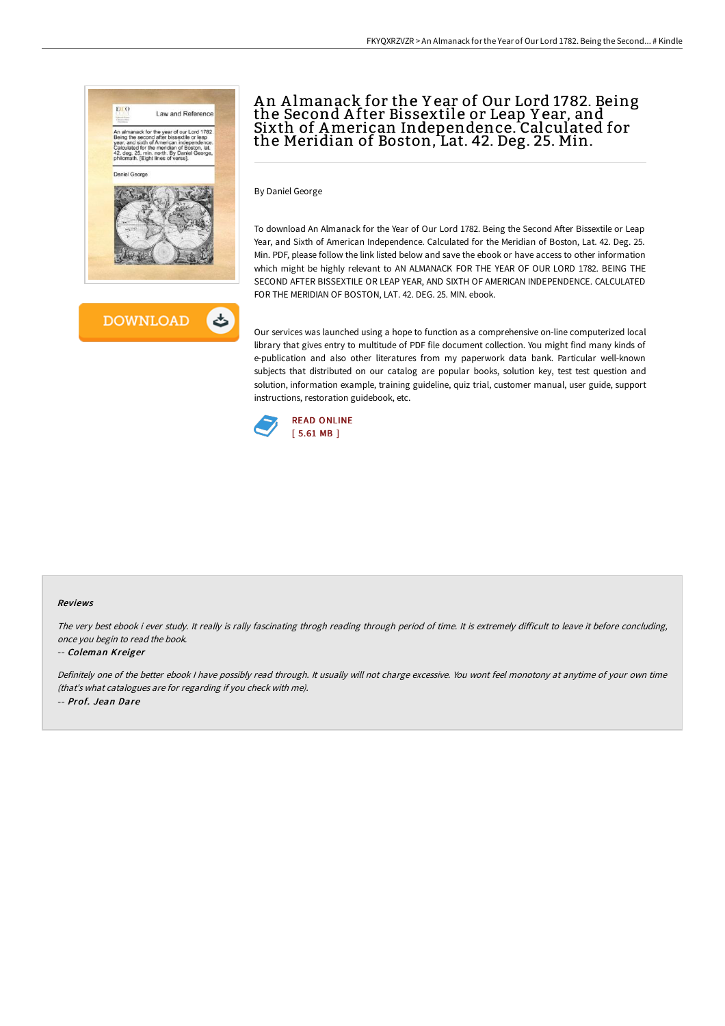

# An Almanack for the Year of Our Lord 1782. Being the Second A fter Bissextile or Leap Y ear, and Sixth of American Independence. Calculated for the Meridian of Boston, Lat. 42. Deg. 25. Min.

By Daniel George

To download An Almanack for the Year of Our Lord 1782. Being the Second After Bissextile or Leap Year, and Sixth of American Independence. Calculated for the Meridian of Boston, Lat. 42. Deg. 25. Min. PDF, please follow the link listed below and save the ebook or have access to other information which might be highly relevant to AN ALMANACK FOR THE YEAR OF OUR LORD 1782. BEING THE SECOND AFTER BISSEXTILE OR LEAP YEAR, AND SIXTH OF AMERICAN INDEPENDENCE. CALCULATED FOR THE MERIDIAN OF BOSTON, LAT. 42. DEG. 25. MIN. ebook.

Our services was launched using a hope to function as a comprehensive on-line computerized local library that gives entry to multitude of PDF file document collection. You might find many kinds of e-publication and also other literatures from my paperwork data bank. Particular well-known subjects that distributed on our catalog are popular books, solution key, test test question and solution, information example, training guideline, quiz trial, customer manual, user guide, support instructions, restoration guidebook, etc.



#### Reviews

The very best ebook i ever study. It really is rally fascinating throgh reading through period of time. It is extremely difficult to leave it before concluding, once you begin to read the book.

### -- Coleman Kreiger

Definitely one of the better ebook <sup>I</sup> have possibly read through. It usually will not charge excessive. You wont feel monotony at anytime of your own time (that's what catalogues are for regarding if you check with me). -- Prof. Jean Dare